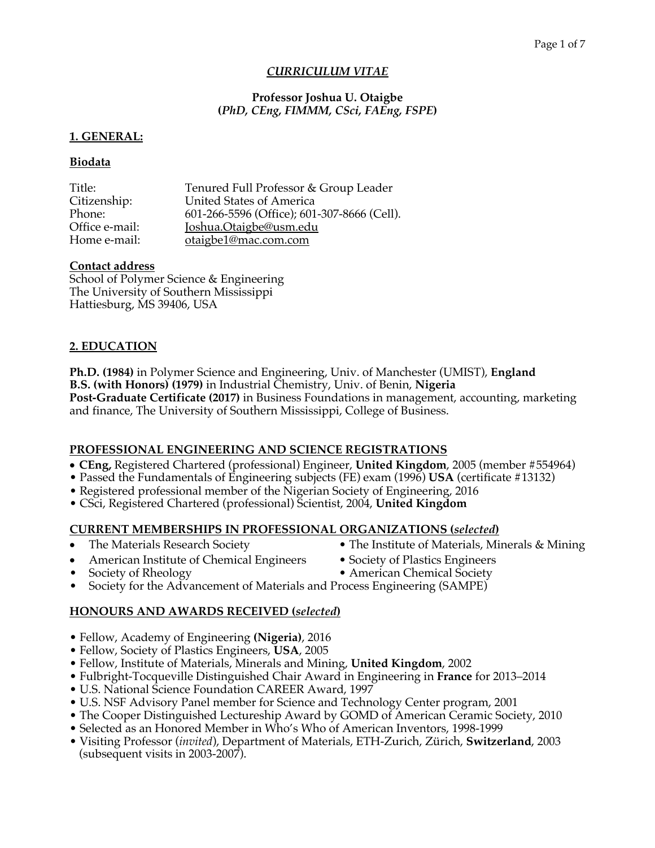## *CURRICULUM VITAE*

## **Professor Joshua U. Otaigbe (***PhD, CEng, FIMMM, CSci, FAEng, FSPE***)**

## **1. GENERAL:**

## **Biodata**

| Tenured Full Professor & Group Leader       |
|---------------------------------------------|
| United States of America                    |
| 601-266-5596 (Office); 601-307-8666 (Cell). |
| Joshua.Otaigbe@usm.edu                      |
| otaigbe1@mac.com.com                        |
|                                             |

## **Contact address**

School of Polymer Science & Engineering The University of Southern Mississippi Hattiesburg, MS 39406, USA

## **2. EDUCATION**

**Ph.D. (1984)** in Polymer Science and Engineering, Univ. of Manchester (UMIST), **England B.S. (with Honors) (1979)** in Industrial Chemistry, Univ. of Benin, **Nigeria Post-Graduate Certificate (2017)** in Business Foundations in management, accounting, marketing and finance, The University of Southern Mississippi, College of Business.

## **PROFESSIONAL ENGINEERING AND SCIENCE REGISTRATIONS**

- **CEng,** Registered Chartered (professional) Engineer, **United Kingdom**, 2005 (member #554964)
- Passed the Fundamentals of Engineering subjects (FE) exam (1996) **USA** (certificate #13132)
- Registered professional member of the Nigerian Society of Engineering, 2016
- CSci, Registered Chartered (professional) Scientist, 2004, **United Kingdom**

## **CURRENT MEMBERSHIPS IN PROFESSIONAL ORGANIZATIONS (***selected***)**

- The Materials Research Society The Institute of Materials, Minerals & Mining
	-
- American Institute of Chemical Engineers Society of Plastics Engineers
- 
- Society of Rheology American Chemical Society
- Society for the Advancement of Materials and Process Engineering (SAMPE)

# **HONOURS AND AWARDS RECEIVED (***selected***)**

- Fellow, Academy of Engineering **(Nigeria)**, 2016
- Fellow, Society of Plastics Engineers, **USA**, 2005
- Fellow, Institute of Materials, Minerals and Mining, **United Kingdom**, 2002
- Fulbright-Tocqueville Distinguished Chair Award in Engineering in **France** for 2013–2014
- U.S. National Science Foundation CAREER Award, 1997
- U.S. NSF Advisory Panel member for Science and Technology Center program, 2001
- The Cooper Distinguished Lectureship Award by GOMD of American Ceramic Society, 2010
- Selected as an Honored Member in Who's Who of American Inventors, 1998-1999
- Visiting Professor (*invited*), Department of Materials, ETH-Zurich, Zürich, **Switzerland**, 2003 (subsequent visits in 2003-2007).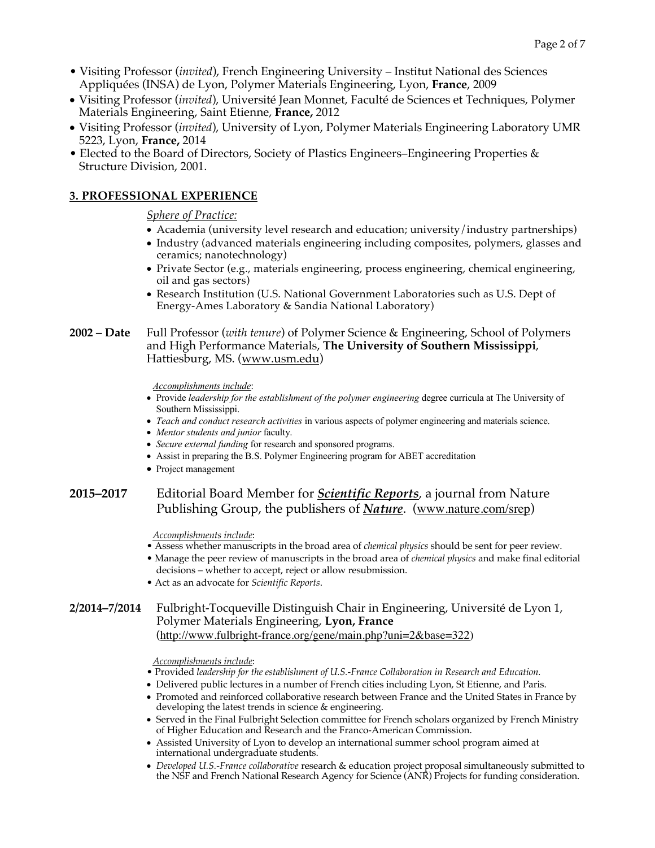- Visiting Professor (*invited*), French Engineering University Institut National des Sciences Appliquées (INSA) de Lyon, Polymer Materials Engineering, Lyon, **France**, 2009
- Visiting Professor (*invited*), Université Jean Monnet, Faculté de Sciences et Techniques, Polymer Materials Engineering, Saint Etienne, **France,** 2012
- Visiting Professor (*invited*), University of Lyon, Polymer Materials Engineering Laboratory UMR 5223, Lyon, **France,** 2014
- Elected to the Board of Directors, Society of Plastics Engineers–Engineering Properties & Structure Division, 2001.

## **3. PROFESSIONAL EXPERIENCE**

*Sphere of Practice:*

- Academia (university level research and education; university/industry partnerships)
- Industry (advanced materials engineering including composites, polymers, glasses and ceramics; nanotechnology)
- Private Sector (e.g., materials engineering, process engineering, chemical engineering, oil and gas sectors)
- Research Institution (U.S. National Government Laboratories such as U.S. Dept of Energy-Ames Laboratory & Sandia National Laboratory)
- **2002 – Date** Full Professor (*with tenure*) of Polymer Science & Engineering, School of Polymers and High Performance Materials, **The University of Southern Mississippi**, Hattiesburg, MS. (www.usm.edu)

*Accomplishments include*:

- Provide *leadership for the establishment of the polymer engineering* degree curricula at The University of Southern Mississippi.
- *Teach and conduct research activities* in various aspects of polymer engineering and materials science.
- *Mentor students and junior* faculty.
- *Secure external funding* for research and sponsored programs.
- Assist in preparing the B.S. Polymer Engineering program for ABET accreditation
- Project management

## **2015–2017** Editorial Board Member for *Scientific Reports*, a journal from Nature Publishing Group, the publishers of *Nature*. (www.nature.com/srep)

*Accomplishments include*:

- Assess whether manuscripts in the broad area of *chemical physics* should be sent for peer review.
- Manage the peer review of manuscripts in the broad area of *chemical physics* and make final editorial decisions – whether to accept, reject or allow resubmission.
- Act as an advocate for *Scientific Reports*.

## **2/2014–7/2014** Fulbright-Tocqueville Distinguish Chair in Engineering, Université de Lyon 1, Polymer Materials Engineering, **Lyon, France** (http://www.fulbright-france.org/gene/main.php?uni=2&base=322)

#### *Accomplishments include*:

- Provided *leadership for the establishment of U.S.-France Collaboration in Research and Education.*
- Delivered public lectures in a number of French cities including Lyon, St Etienne, and Paris.
- Promoted and reinforced collaborative research between France and the United States in France by developing the latest trends in science & engineering.
- Served in the Final Fulbright Selection committee for French scholars organized by French Ministry of Higher Education and Research and the Franco-American Commission.
- Assisted University of Lyon to develop an international summer school program aimed at international undergraduate students.
- *Developed U.S.-France collaborative* research & education project proposal simultaneously submitted to the NSF and French National Research Agency for Science (ANR) Projects for funding consideration.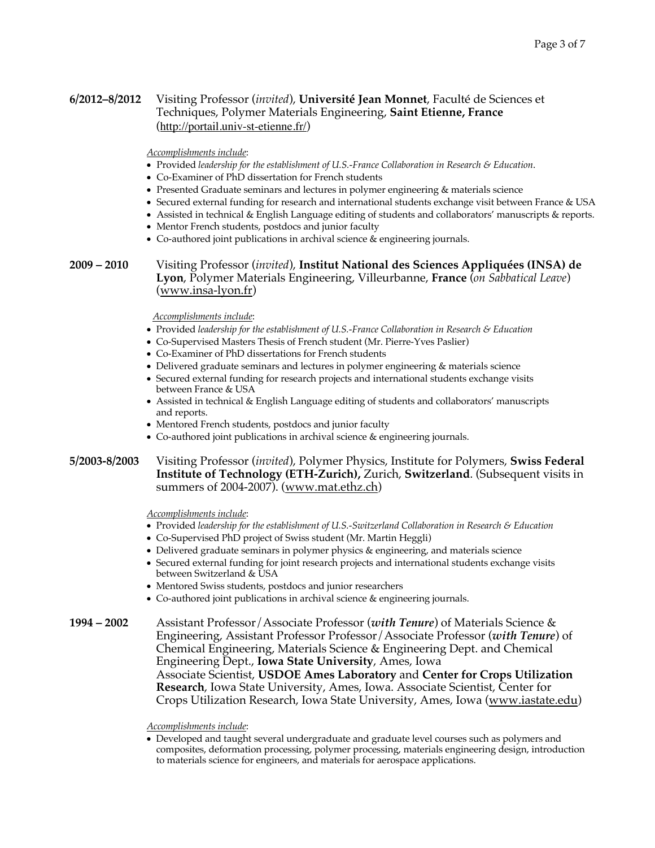### **6/2012–8/2012** Visiting Professor (*invited*), **Université Jean Monnet**, Faculté de Sciences et Techniques, Polymer Materials Engineering, **Saint Etienne, France** (http://portail.univ-st-etienne.fr/)

*Accomplishments include*:

- Provided *leadership for the establishment of U.S.-France Collaboration in Research & Education*.
- Co-Examiner of PhD dissertation for French students
- Presented Graduate seminars and lectures in polymer engineering & materials science
- Secured external funding for research and international students exchange visit between France & USA
- Assisted in technical & English Language editing of students and collaborators' manuscripts & reports.
- Mentor French students, postdocs and junior faculty
- Co-authored joint publications in archival science & engineering journals.

**2009 – 2010** Visiting Professor (*invited*), **Institut National des Sciences Appliquées (INSA) de Lyon**, Polymer Materials Engineering, Villeurbanne, **France** (*on Sabbatical Leave*) (www.insa-lyon.fr)

#### *Accomplishments include*:

- Provided *leadership for the establishment of U.S.-France Collaboration in Research & Education*
- Co-Supervised Masters Thesis of French student (Mr. Pierre-Yves Paslier)
- Co-Examiner of PhD dissertations for French students
- Delivered graduate seminars and lectures in polymer engineering & materials science
- Secured external funding for research projects and international students exchange visits between France & USA
- Assisted in technical & English Language editing of students and collaborators' manuscripts and reports.
- Mentored French students, postdocs and junior faculty
- Co-authored joint publications in archival science & engineering journals.

### **5/2003-8/2003** Visiting Professor (*invited*), Polymer Physics, Institute for Polymers, **Swiss Federal Institute of Technology (ETH-Zurich),** Zurich, **Switzerland**. (Subsequent visits in summers of 2004-2007). (www.mat.ethz.ch)

*Accomplishments include*:

- Provided *leadership for the establishment of U.S.-Switzerland Collaboration in Research & Education*
- Co-Supervised PhD project of Swiss student (Mr. Martin Heggli)
- Delivered graduate seminars in polymer physics & engineering, and materials science
- Secured external funding for joint research projects and international students exchange visits between Switzerland & USA
- Mentored Swiss students, postdocs and junior researchers
- Co-authored joint publications in archival science & engineering journals.

**1994 – 2002** Assistant Professor/Associate Professor (*with Tenure*) of Materials Science & Engineering, Assistant Professor Professor/Associate Professor (*with Tenure*) of Chemical Engineering, Materials Science & Engineering Dept. and Chemical Engineering Dept., **Iowa State University**, Ames, Iowa Associate Scientist, **USDOE Ames Laboratory** and **Center for Crops Utilization Research**, Iowa State University, Ames, Iowa. Associate Scientist, Center for Crops Utilization Research, Iowa State University, Ames, Iowa (www.iastate.edu)

#### *Accomplishments include*:

• Developed and taught several undergraduate and graduate level courses such as polymers and composites, deformation processing, polymer processing, materials engineering design, introduction to materials science for engineers, and materials for aerospace applications.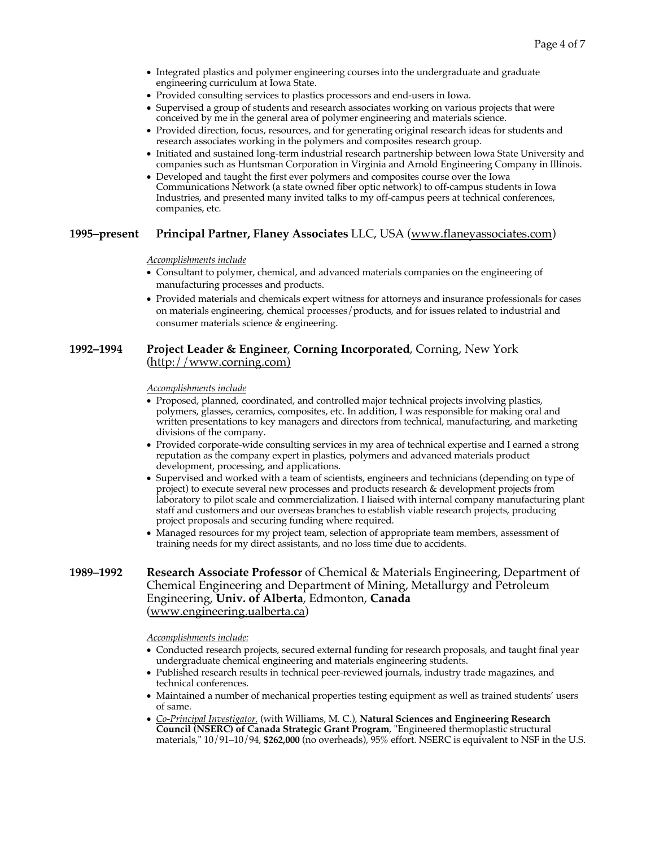- Integrated plastics and polymer engineering courses into the undergraduate and graduate engineering curriculum at Iowa State.
- Provided consulting services to plastics processors and end-users in Iowa.
- Supervised a group of students and research associates working on various projects that were conceived by me in the general area of polymer engineering and materials science.
- Provided direction, focus, resources, and for generating original research ideas for students and research associates working in the polymers and composites research group.
- Initiated and sustained long-term industrial research partnership between Iowa State University and companies such as Huntsman Corporation in Virginia and Arnold Engineering Company in Illinois.
- Developed and taught the first ever polymers and composites course over the Iowa Communications Network (a state owned fiber optic network) to off-campus students in Iowa Industries, and presented many invited talks to my off-campus peers at technical conferences, companies, etc.

#### **1995–present Principal Partner, Flaney Associates** LLC, USA (www.flaneyassociates.com)

*Accomplishments include*

- Consultant to polymer, chemical, and advanced materials companies on the engineering of manufacturing processes and products.
- Provided materials and chemicals expert witness for attorneys and insurance professionals for cases on materials engineering, chemical processes/products, and for issues related to industrial and consumer materials science & engineering.

#### **1992–1994 Project Leader & Engineer**, **Corning Incorporated**, Corning, New York (http://www.corning.com)

*Accomplishments include*

- Proposed, planned, coordinated, and controlled major technical projects involving plastics, polymers, glasses, ceramics, composites, etc. In addition, I was responsible for making oral and written presentations to key managers and directors from technical, manufacturing, and marketing divisions of the company.
- Provided corporate-wide consulting services in my area of technical expertise and I earned a strong reputation as the company expert in plastics, polymers and advanced materials product development, processing, and applications.
- Supervised and worked with a team of scientists, engineers and technicians (depending on type of project) to execute several new processes and products research & development projects from laboratory to pilot scale and commercialization. I liaised with internal company manufacturing plant staff and customers and our overseas branches to establish viable research projects, producing project proposals and securing funding where required.
- Managed resources for my project team, selection of appropriate team members, assessment of training needs for my direct assistants, and no loss time due to accidents.

### **1989–1992 Research Associate Professor** of Chemical & Materials Engineering, Department of Chemical Engineering and Department of Mining, Metallurgy and Petroleum Engineering, **Univ. of Alberta**, Edmonton, **Canada** (www.engineering.ualberta.ca)

*Accomplishments include:*

- Conducted research projects, secured external funding for research proposals, and taught final year undergraduate chemical engineering and materials engineering students.
- Published research results in technical peer-reviewed journals, industry trade magazines, and technical conferences.
- Maintained a number of mechanical properties testing equipment as well as trained students' users of same.
- *Co-Principal Investigator,* (with Williams, M. C.), **Natural Sciences and Engineering Research Council (NSERC) of Canada Strategic Grant Program**, "Engineered thermoplastic structural materials," 10/91–10/94, **\$262,000** (no overheads), 95% effort. NSERC is equivalent to NSF in the U.S.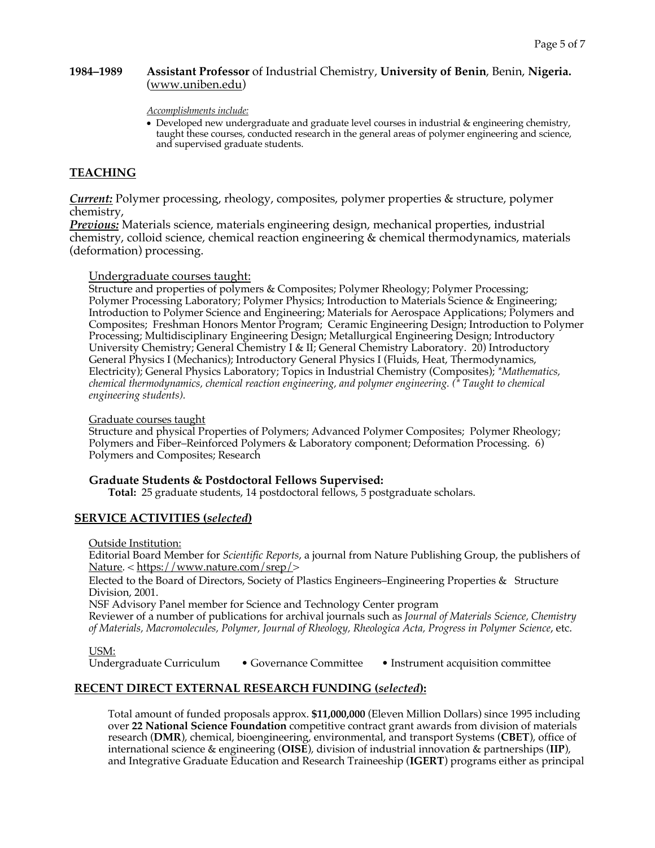### **1984–1989 Assistant Professor** of Industrial Chemistry, **University of Benin**, Benin, **Nigeria.**  (www.uniben.edu)

#### *Accomplishments include:*

• Developed new undergraduate and graduate level courses in industrial & engineering chemistry, taught these courses, conducted research in the general areas of polymer engineering and science, and supervised graduate students.

## **TEACHING**

*Current:* Polymer processing, rheology, composites, polymer properties & structure, polymer chemistry,

*Previous:* Materials science, materials engineering design, mechanical properties, industrial chemistry, colloid science, chemical reaction engineering & chemical thermodynamics, materials (deformation) processing.

### Undergraduate courses taught:

Structure and properties of polymers & Composites; Polymer Rheology; Polymer Processing; Polymer Processing Laboratory; Polymer Physics; Introduction to Materials Science & Engineering; Introduction to Polymer Science and Engineering; Materials for Aerospace Applications; Polymers and Composites; Freshman Honors Mentor Program; Ceramic Engineering Design; Introduction to Polymer Processing; Multidisciplinary Engineering Design; Metallurgical Engineering Design; Introductory University Chemistry; General Chemistry I & II; General Chemistry Laboratory. 20) Introductory General Physics I (Mechanics); Introductory General Physics I (Fluids, Heat, Thermodynamics, Electricity); General Physics Laboratory; Topics in Industrial Chemistry (Composites); *\*Mathematics, chemical thermodynamics, chemical reaction engineering, and polymer engineering. (\* Taught to chemical engineering students).*

#### Graduate courses taught

Structure and physical Properties of Polymers; Advanced Polymer Composites; Polymer Rheology; Polymers and Fiber–Reinforced Polymers & Laboratory component; Deformation Processing. 6) Polymers and Composites; Research

#### **Graduate Students & Postdoctoral Fellows Supervised:**

**Total:** 25 graduate students, 14 postdoctoral fellows, 5 postgraduate scholars.

### **SERVICE ACTIVITIES (***selected***)**

Outside Institution:

Editorial Board Member for *Scientific Reports*, a journal from Nature Publishing Group, the publishers of Nature. < https://www.nature.com/srep/>

Elected to the Board of Directors, Society of Plastics Engineers–Engineering Properties & Structure Division, 2001.

NSF Advisory Panel member for Science and Technology Center program Reviewer of a number of publications for archival journals such as *Journal of Materials Science, Chemistry of Materials, Macromolecules, Polymer, Journal of Rheology, Rheologica Acta, Progress in Polymer Science*, etc.

USM:<br>Undergraduate Curriculum • Governance Committee • Instrument acquisition committee

### **RECENT DIRECT EXTERNAL RESEARCH FUNDING (***selected***):**

Total amount of funded proposals approx. **\$11,000,000** (Eleven Million Dollars) since 1995 including over **22 National Science Foundation** competitive contract grant awards from division of materials research (**DMR**), chemical, bioengineering, environmental, and transport Systems (**CBET**), office of international science & engineering (**OISE**), division of industrial innovation & partnerships (**IIP**), and Integrative Graduate Education and Research Traineeship (**IGERT**) programs either as principal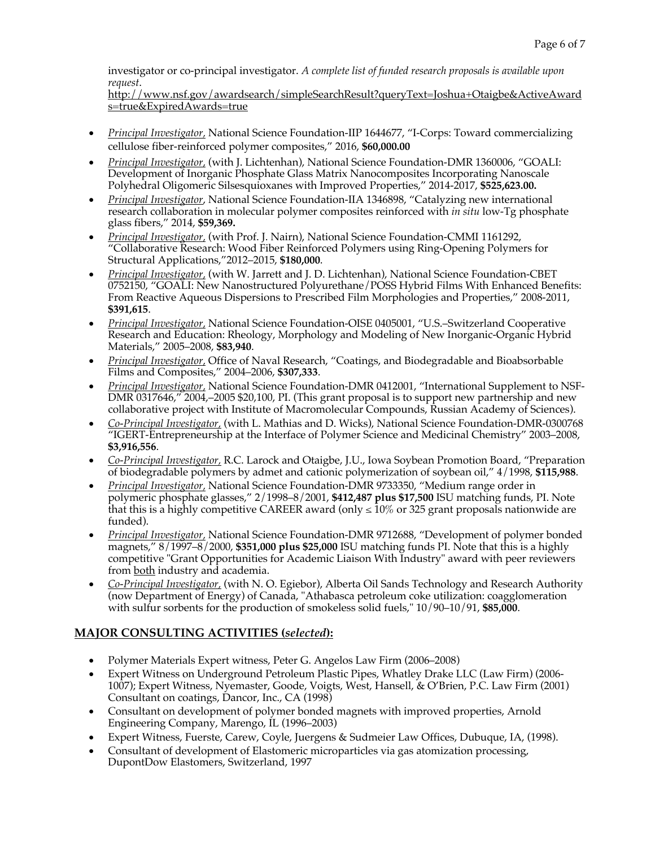investigator or co-principal investigator. *A complete list of funded research proposals is available upon request*.

http://www.nsf.gov/awardsearch/simpleSearchResult?queryText=Joshua+Otaigbe&ActiveAward s=true&ExpiredAwards=true

- *Principal Investigator,* National Science Foundation-IIP 1644677, "I-Corps: Toward commercializing cellulose fiber-reinforced polymer composites," 2016, **\$60,000.00**
- *Principal Investigator,* (with J. Lichtenhan), National Science Foundation-DMR 1360006, "GOALI: Development of Inorganic Phosphate Glass Matrix Nanocomposites Incorporating Nanoscale Polyhedral Oligomeric Silsesquioxanes with Improved Properties," 2014-2017, **\$525,623.00.**
- *Principal Investigator*, National Science Foundation-IIA 1346898, "Catalyzing new international research collaboration in molecular polymer composites reinforced with *in situ* low-Tg phosphate glass fibers," 2014, **\$59,369.**
- *Principal Investigator,* (with Prof. J. Nairn), National Science Foundation-CMMI 1161292, "Collaborative Research: Wood Fiber Reinforced Polymers using Ring-Opening Polymers for Structural Applications,"2012–2015, **\$180,000**.
- *Principal Investigator,* (with W. Jarrett and J. D. Lichtenhan), National Science Foundation-CBET 0752150, "GOALI: New Nanostructured Polyurethane/POSS Hybrid Films With Enhanced Benefits: From Reactive Aqueous Dispersions to Prescribed Film Morphologies and Properties," 2008-2011, **\$391,615**.
- *Principal Investigator,* National Science Foundation-OISE 0405001, "U.S.–Switzerland Cooperative Research and Education: Rheology, Morphology and Modeling of New Inorganic-Organic Hybrid Materials," 2005–2008, **\$83,940**.
- *Principal Investigator,* Office of Naval Research, "Coatings, and Biodegradable and Bioabsorbable Films and Composites," 2004–2006, **\$307,333**.
- *Principal Investigator,* National Science Foundation-DMR 0412001, "International Supplement to NSF-DMR 0317646," 2004,–2005 \$20,100, PI. (This grant proposal is to support new partnership and new collaborative project with Institute of Macromolecular Compounds, Russian Academy of Sciences).
- *Co-Principal Investigator,* (with L. Mathias and D. Wicks), National Science Foundation-DMR-0300768 "IGERT-Entrepreneurship at the Interface of Polymer Science and Medicinal Chemistry" 2003–2008, **\$3,916,556**.
- *Co-Principal Investigator,* R.C. Larock and Otaigbe, J.U., Iowa Soybean Promotion Board, "Preparation of biodegradable polymers by admet and cationic polymerization of soybean oil," 4/1998, **\$115,988**.
- *Principal Investigator,* National Science Foundation-DMR 9733350, "Medium range order in polymeric phosphate glasses," 2/1998–8/2001, **\$412,487 plus \$17,500** ISU matching funds, PI. Note that this is a highly competitive CAREER award (only  $\leq 10\%$  or 325 grant proposals nationwide are funded).
- *Principal Investigator,* National Science Foundation-DMR 9712688, "Development of polymer bonded magnets," 8/1997–8/2000, **\$351,000 plus \$25,000** ISU matching funds PI. Note that this is a highly competitive "Grant Opportunities for Academic Liaison With Industry" award with peer reviewers from both industry and academia.
- *Co-Principal Investigator,* (with N. O. Egiebor), Alberta Oil Sands Technology and Research Authority (now Department of Energy) of Canada, "Athabasca petroleum coke utilization: coagglomeration with sulfur sorbents for the production of smokeless solid fuels," 10/90–10/91, **\$85,000**.

# **MAJOR CONSULTING ACTIVITIES (***selected***):**

- Polymer Materials Expert witness, Peter G. Angelos Law Firm (2006–2008)
- Expert Witness on Underground Petroleum Plastic Pipes, Whatley Drake LLC (Law Firm) (2006- 1007); Expert Witness, Nyemaster, Goode, Voigts, West, Hansell, & O'Brien, P.C. Law Firm (2001) Consultant on coatings, Dancor, Inc., CA (1998)
- Consultant on development of polymer bonded magnets with improved properties, Arnold Engineering Company, Marengo, IL (1996–2003)
- Expert Witness, Fuerste, Carew, Coyle, Juergens & Sudmeier Law Offices, Dubuque, IA, (1998).
- Consultant of development of Elastomeric microparticles via gas atomization processing, DupontDow Elastomers, Switzerland, 1997